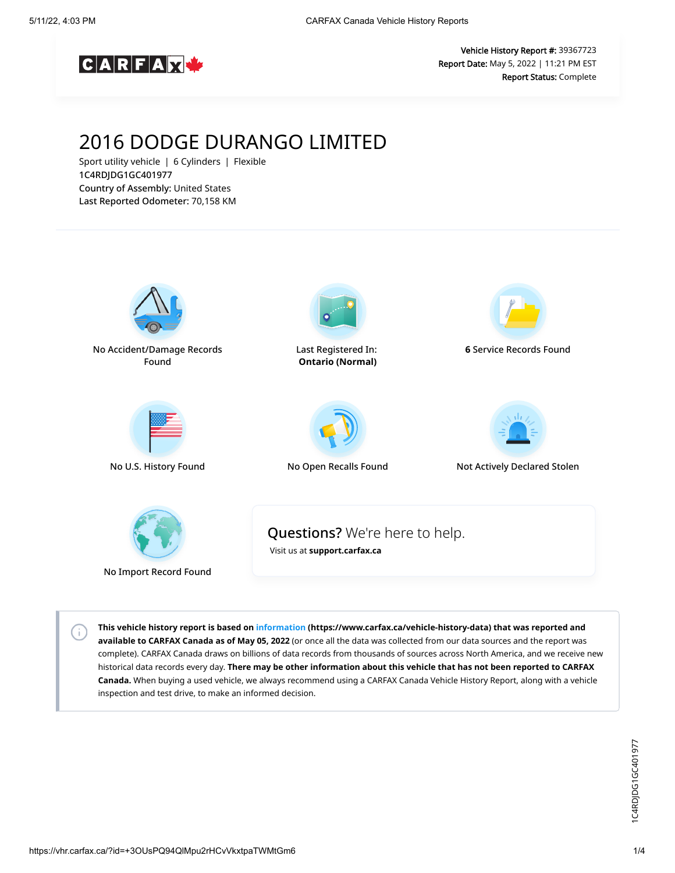

Vehicle History Report #: 39367723 Report Date: May 5, 2022 | 11:21 PM EST Report Status: Complete

# 2016 DODGE DURANGO LIMITED

Sport utility vehicle | 6 Cylinders | Flexible 1C4RDJDG1GC401977 Country of Assembly: United States Last Reported Odometer: 70,158 KM



**This vehicle history report is based on [information](https://www.carfax.ca/vehicle-history-data) (https://www.carfax.ca/vehicle-history-data) that was reported and available to CARFAX Canada as of May 05, 2022** (or once all the data was collected from our data sources and the report was complete). CARFAX Canada draws on billions of data records from thousands of sources across North America, and we receive new historical data records every day. **There may be other information about this vehicle that has not been reported to CARFAX Canada.** When buying a used vehicle, we always recommend using a CARFAX Canada Vehicle History Report, along with a vehicle inspection and test drive, to make an informed decision.

 $\left( \cdot \right)$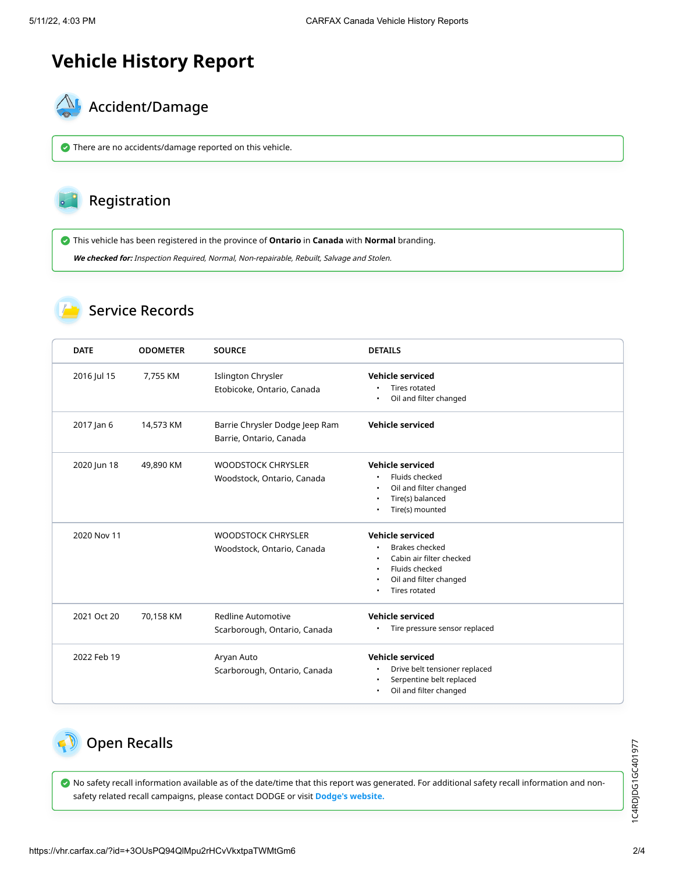# **Vehicle History Report**



There are no accidents/damage reported on this vehicle.

# Registration

This vehicle has been registered in the province of **Ontario** in **Canada** with **Normal** branding.

**We checked for:** Inspection Required, Normal, Non-repairable, Rebuilt, Salvage and Stolen.

#### Service Records

| <b>DATE</b> | <b>ODOMETER</b> | <b>SOURCE</b>                                             | <b>DETAILS</b>                                                                                                                     |
|-------------|-----------------|-----------------------------------------------------------|------------------------------------------------------------------------------------------------------------------------------------|
| 2016 Jul 15 | 7.755 KM        | Islington Chrysler<br>Etobicoke, Ontario, Canada          | <b>Vehicle serviced</b><br>Tires rotated<br>Oil and filter changed                                                                 |
| 2017 Jan 6  | 14,573 KM       | Barrie Chrysler Dodge Jeep Ram<br>Barrie, Ontario, Canada | Vehicle serviced                                                                                                                   |
| 2020 Jun 18 | 49,890 KM       | <b>WOODSTOCK CHRYSLER</b><br>Woodstock, Ontario, Canada   | Vehicle serviced<br>Fluids checked<br>Oil and filter changed<br>Tire(s) balanced<br>Tire(s) mounted                                |
| 2020 Nov 11 |                 | <b>WOODSTOCK CHRYSLER</b><br>Woodstock, Ontario, Canada   | Vehicle serviced<br><b>Brakes checked</b><br>Cabin air filter checked<br>Fluids checked<br>Oil and filter changed<br>Tires rotated |
| 2021 Oct 20 | 70,158 KM       | Redline Automotive<br>Scarborough, Ontario, Canada        | <b>Vehicle serviced</b><br>Tire pressure sensor replaced                                                                           |
| 2022 Feb 19 |                 | Aryan Auto<br>Scarborough, Ontario, Canada                | Vehicle serviced<br>Drive belt tensioner replaced<br>Serpentine belt replaced<br>٠<br>Oil and filter changed                       |

## Open Recalls

 No safety recall information available as of the date/time that this report was generated. For additional safety recall information and nonsafety related recall campaigns, please contact DODGE or visit **[Dodge's website.](https://www.mopar.com/en-ca/my-vehicle/recalls/search.html)**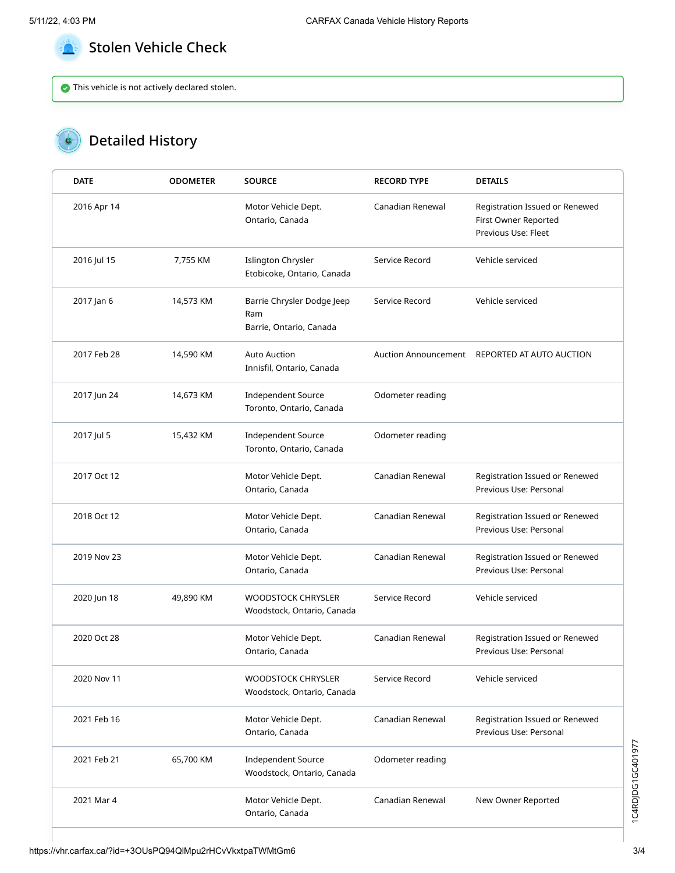

### Stolen Vehicle Check

This vehicle is not actively declared stolen.

# Detailed History

| <b>DATE</b> | <b>ODOMETER</b> | <b>SOURCE</b>                                                | <b>RECORD TYPE</b> | <b>DETAILS</b>                                                                |
|-------------|-----------------|--------------------------------------------------------------|--------------------|-------------------------------------------------------------------------------|
| 2016 Apr 14 |                 | Motor Vehicle Dept.<br>Ontario, Canada                       | Canadian Renewal   | Registration Issued or Renewed<br>First Owner Reported<br>Previous Use: Fleet |
| 2016 Jul 15 | 7,755 KM        | Islington Chrysler<br>Etobicoke, Ontario, Canada             | Service Record     | Vehicle serviced                                                              |
| 2017 Jan 6  | 14,573 KM       | Barrie Chrysler Dodge Jeep<br>Ram<br>Barrie, Ontario, Canada | Service Record     | Vehicle serviced                                                              |
| 2017 Feb 28 | 14,590 KM       | <b>Auto Auction</b><br>Innisfil, Ontario, Canada             |                    | Auction Announcement REPORTED AT AUTO AUCTION                                 |
| 2017 Jun 24 | 14,673 KM       | <b>Independent Source</b><br>Toronto, Ontario, Canada        | Odometer reading   |                                                                               |
| 2017 Jul 5  | 15,432 KM       | <b>Independent Source</b><br>Toronto, Ontario, Canada        | Odometer reading   |                                                                               |
| 2017 Oct 12 |                 | Motor Vehicle Dept.<br>Ontario, Canada                       | Canadian Renewal   | Registration Issued or Renewed<br>Previous Use: Personal                      |
| 2018 Oct 12 |                 | Motor Vehicle Dept.<br>Ontario, Canada                       | Canadian Renewal   | Registration Issued or Renewed<br>Previous Use: Personal                      |
| 2019 Nov 23 |                 | Motor Vehicle Dept.<br>Ontario, Canada                       | Canadian Renewal   | Registration Issued or Renewed<br>Previous Use: Personal                      |
| 2020 Jun 18 | 49,890 KM       | <b>WOODSTOCK CHRYSLER</b><br>Woodstock, Ontario, Canada      | Service Record     | Vehicle serviced                                                              |
| 2020 Oct 28 |                 | Motor Vehicle Dept.<br>Ontario, Canada                       | Canadian Renewal   | Registration Issued or Renewed<br>Previous Use: Personal                      |
| 2020 Nov 11 |                 | <b>WOODSTOCK CHRYSLER</b><br>Woodstock, Ontario, Canada      | Service Record     | Vehicle serviced                                                              |
| 2021 Feb 16 |                 | Motor Vehicle Dept.<br>Ontario, Canada                       | Canadian Renewal   | Registration Issued or Renewed<br>Previous Use: Personal                      |
| 2021 Feb 21 | 65,700 KM       | <b>Independent Source</b><br>Woodstock, Ontario, Canada      | Odometer reading   |                                                                               |
| 2021 Mar 4  |                 | Motor Vehicle Dept.<br>Ontario, Canada                       | Canadian Renewal   | New Owner Reported                                                            |